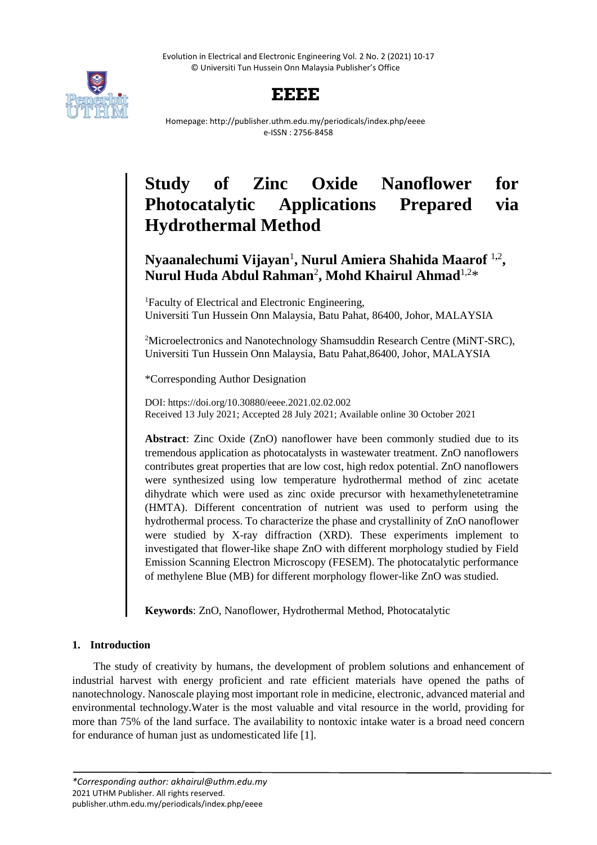Evolution in Electrical and Electronic Engineering Vol. 2 No. 2 (2021) 10-17 © Universiti Tun Hussein Onn Malaysia Publisher's Office



# **EEEE**

Homepage: http://publisher.uthm.edu.my/periodicals/index.php/eeee e-ISSN : 2756-8458

# **Study of Zinc Oxide Nanoflower for Photocatalytic Applications Prepared via Hydrothermal Method**

# **Nyaanalechumi Vijayan**<sup>1</sup> **, Nurul Amiera Shahida Maarof** <sup>1</sup>**,**<sup>2</sup> **, Nurul Huda Abdul Rahman**<sup>2</sup> **, Mohd Khairul Ahmad**1,2\*

<sup>1</sup>Faculty of Electrical and Electronic Engineering. Universiti Tun Hussein Onn Malaysia, Batu Pahat, 86400, Johor, MALAYSIA

<sup>2</sup>Microelectronics and Nanotechnology Shamsuddin Research Centre (MiNT-SRC), Universiti Tun Hussein Onn Malaysia, Batu Pahat,86400, Johor, MALAYSIA

\*Corresponding Author Designation

DOI: https://doi.org/10.30880/eeee.2021.02.02.002 Received 13 July 2021; Accepted 28 July 2021; Available online 30 October 2021

**Abstract**: Zinc Oxide (ZnO) nanoflower have been commonly studied due to its tremendous application as photocatalysts in wastewater treatment. ZnO nanoflowers contributes great properties that are low cost, high redox potential. ZnO nanoflowers were synthesized using low temperature hydrothermal method of zinc acetate dihydrate which were used as zinc oxide precursor with hexamethylenetetramine (HMTA). Different concentration of nutrient was used to perform using the hydrothermal process. To characterize the phase and crystallinity of ZnO nanoflower were studied by X-ray diffraction (XRD). These experiments implement to investigated that flower-like shape ZnO with different morphology studied by Field Emission Scanning Electron Microscopy (FESEM). The photocatalytic performance of methylene Blue (MB) for different morphology flower-like ZnO was studied.

**Keywords**: ZnO, Nanoflower, Hydrothermal Method, Photocatalytic

## **1. Introduction**

The study of creativity by humans, the development of problem solutions and enhancement of industrial harvest with energy proficient and rate efficient materials have opened the paths of nanotechnology. Nanoscale playing most important role in medicine, electronic, advanced material and environmental technology.Water is the most valuable and vital resource in the world, providing for more than 75% of the land surface. The availability to nontoxic intake water is a broad need concern for endurance of human just as undomesticated life [1].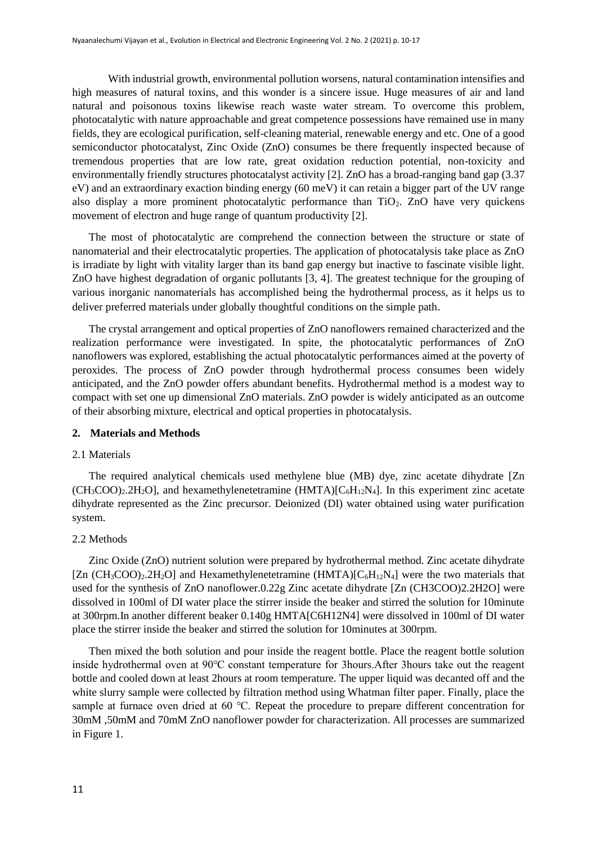With industrial growth, environmental pollution worsens, natural contamination intensifies and high measures of natural toxins, and this wonder is a sincere issue. Huge measures of air and land natural and poisonous toxins likewise reach waste water stream. To overcome this problem, photocatalytic with nature approachable and great competence possessions have remained use in many fields, they are ecological purification, self-cleaning material, renewable energy and etc. One of a good semiconductor photocatalyst, Zinc Oxide (ZnO) consumes be there frequently inspected because of tremendous properties that are low rate, great oxidation reduction potential, non-toxicity and environmentally friendly structures photocatalyst activity [2]. ZnO has a broad-ranging band gap (3.37 eV) and an extraordinary exaction binding energy (60 meV) it can retain a bigger part of the UV range also display a more prominent photocatalytic performance than  $TiO<sub>2</sub>$ . ZnO have very quickens movement of electron and huge range of quantum productivity [2].

The most of photocatalytic are comprehend the connection between the structure or state of nanomaterial and their electrocatalytic properties. The application of photocatalysis take place as ZnO is irradiate by light with vitality larger than its band gap energy but inactive to fascinate visible light. ZnO have highest degradation of organic pollutants [3, 4]. The greatest technique for the grouping of various inorganic nanomaterials has accomplished being the hydrothermal process, as it helps us to deliver preferred materials under globally thoughtful conditions on the simple path.

The crystal arrangement and optical properties of ZnO nanoflowers remained characterized and the realization performance were investigated. In spite, the photocatalytic performances of ZnO nanoflowers was explored, establishing the actual photocatalytic performances aimed at the poverty of peroxides. The process of ZnO powder through hydrothermal process consumes been widely anticipated, and the ZnO powder offers abundant benefits. Hydrothermal method is a modest way to compact with set one up dimensional ZnO materials. ZnO powder is widely anticipated as an outcome of their absorbing mixture, electrical and optical properties in photocatalysis.

#### **2. Materials and Methods**

#### 2.1 Materials

The required analytical chemicals used methylene blue (MB) dye, zinc acetate dihydrate [Zn  $(CH_3COO)_2.2H_2O$ , and hexamethylenetetramine  $(HMTA)[C_6H_{12}N_4]$ . In this experiment zinc acetate dihydrate represented as the Zinc precursor. Deionized (DI) water obtained using water purification system.

#### 2.2 Methods

Zinc Oxide (ZnO) nutrient solution were prepared by hydrothermal method. Zinc acetate dihydrate [Zn  $(CH_3COO)_2.2H_2O$ ] and Hexamethylenetetramine  $(HMTA)[C_6H_{12}N_4]$  were the two materials that used for the synthesis of ZnO nanoflower.0.22g Zinc acetate dihydrate [Zn (CH3COO)2.2H2O] were dissolved in 100ml of DI water place the stirrer inside the beaker and stirred the solution for 10minute at 300rpm.In another different beaker 0.140g HMTA[C6H12N4] were dissolved in 100ml of DI water place the stirrer inside the beaker and stirred the solution for 10minutes at 300rpm.

Then mixed the both solution and pour inside the reagent bottle. Place the reagent bottle solution inside hydrothermal oven at 90℃ constant temperature for 3hours.After 3hours take out the reagent bottle and cooled down at least 2hours at room temperature. The upper liquid was decanted off and the white slurry sample were collected by filtration method using Whatman filter paper. Finally, place the sample at furnace oven dried at 60 ℃. Repeat the procedure to prepare different concentration for 30mM ,50mM and 70mM ZnO nanoflower powder for characterization. All processes are summarized in Figure 1.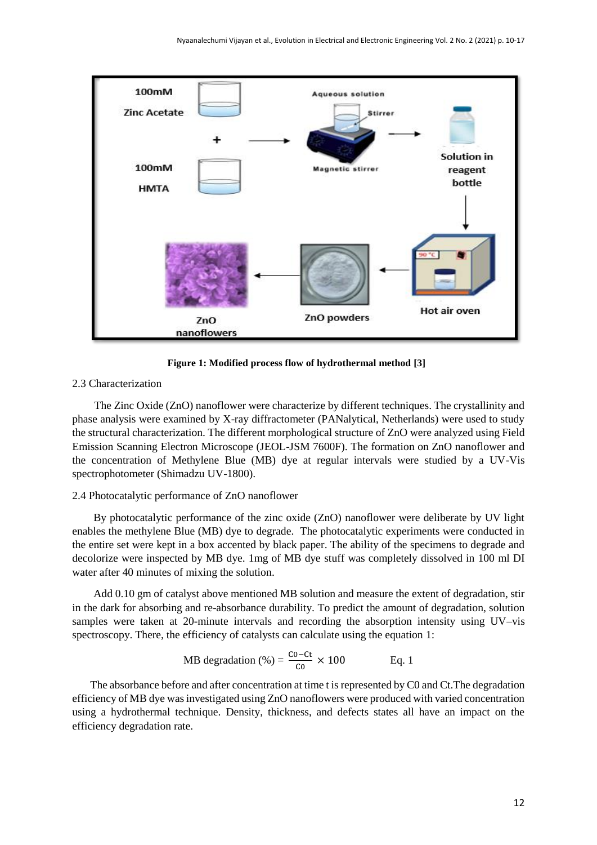

**Figure 1: Modified process flow of hydrothermal method [3]**

#### 2.3 Characterization

The Zinc Oxide (ZnO) nanoflower were characterize by different techniques. The crystallinity and phase analysis were examined by X-ray diffractometer (PANalytical, Netherlands) were used to study the structural characterization. The different morphological structure of ZnO were analyzed using Field Emission Scanning Electron Microscope (JEOL-JSM 7600F). The formation on ZnO nanoflower and the concentration of Methylene Blue (MB) dye at regular intervals were studied by a UV-Vis spectrophotometer (Shimadzu UV-1800).

#### 2.4 Photocatalytic performance of ZnO nanoflower

By photocatalytic performance of the zinc oxide (ZnO) nanoflower were deliberate by UV light enables the methylene Blue (MB) dye to degrade. The photocatalytic experiments were conducted in the entire set were kept in a box accented by black paper. The ability of the specimens to degrade and decolorize were inspected by MB dye. 1mg of MB dye stuff was completely dissolved in 100 ml DI water after 40 minutes of mixing the solution.

Add 0.10 gm of catalyst above mentioned MB solution and measure the extent of degradation, stir in the dark for absorbing and re-absorbance durability. To predict the amount of degradation, solution samples were taken at 20-minute intervals and recording the absorption intensity using UV–vis spectroscopy. There, the efficiency of catalysts can calculate using the equation 1:

MB degradation (
$$
%
$$
) =  $\frac{\text{co-ct}}{\text{co}} \times 100$  Eq. 1

The absorbance before and after concentration at time t is represented by C0 and Ct.The degradation efficiency of MB dye was investigated using ZnO nanoflowers were produced with varied concentration using a hydrothermal technique. Density, thickness, and defects states all have an impact on the efficiency degradation rate.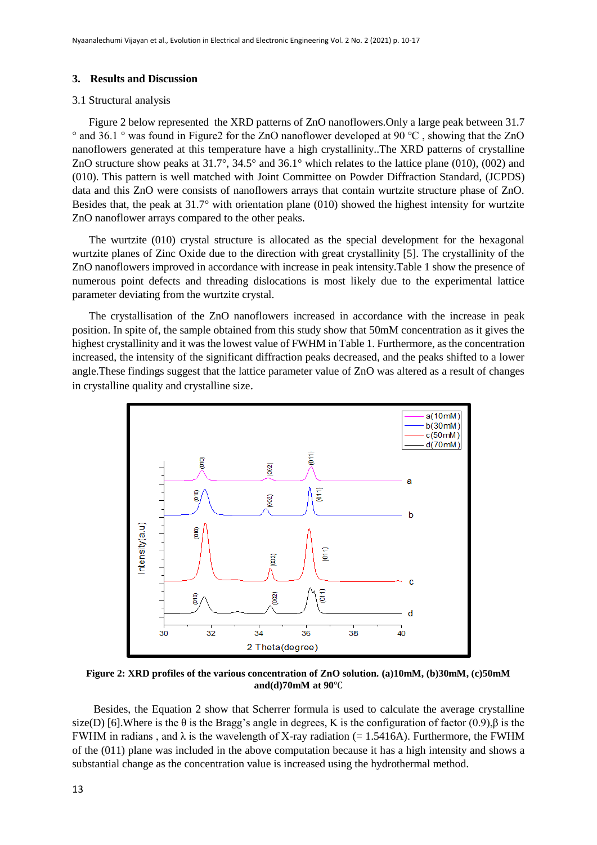#### **3. Results and Discussion**

#### 3.1 Structural analysis

Figure 2 below represented the XRD patterns of ZnO nanoflowers.Only a large peak between 31.7 ° and 36.1 ° was found in Figure2 for the ZnO nanoflower developed at 90 ℃ , showing that the ZnO nanoflowers generated at this temperature have a high crystallinity..The XRD patterns of crystalline ZnO structure show peaks at 31.7°, 34.5° and 36.1° which relates to the lattice plane (010), (002) and (010). This pattern is well matched with Joint Committee on Powder Diffraction Standard, (JCPDS) data and this ZnO were consists of nanoflowers arrays that contain wurtzite structure phase of ZnO. Besides that, the peak at 31.7° with orientation plane (010) showed the highest intensity for wurtzite ZnO nanoflower arrays compared to the other peaks.

The wurtzite (010) crystal structure is allocated as the special development for the hexagonal wurtzite planes of Zinc Oxide due to the direction with great crystallinity [5]. The crystallinity of the ZnO nanoflowers improved in accordance with increase in peak intensity.Table 1 show the presence of numerous point defects and threading dislocations is most likely due to the experimental lattice parameter deviating from the wurtzite crystal.

The crystallisation of the ZnO nanoflowers increased in accordance with the increase in peak position. In spite of, the sample obtained from this study show that 50mM concentration as it gives the highest crystallinity and it was the lowest value of FWHM in Table 1. Furthermore, as the concentration increased, the intensity of the significant diffraction peaks decreased, and the peaks shifted to a lower angle.These findings suggest that the lattice parameter value of ZnO was altered as a result of changes in crystalline quality and crystalline size.



**Figure 2: XRD profiles of the various concentration of ZnO solution***.* **(a)10mM, (b)30mM, (c)50mM and(d)70mM at 90**℃

Besides, the Equation 2 show that Scherrer formula is used to calculate the average crystalline size(D) [6].Where is the  $\theta$  is the Bragg's angle in degrees, K is the configuration of factor (0.9),  $\beta$  is the FWHM in radians, and  $\lambda$  is the wavelength of X-ray radiation (= 1.5416A). Furthermore, the FWHM of the (011) plane was included in the above computation because it has a high intensity and shows a substantial change as the concentration value is increased using the hydrothermal method.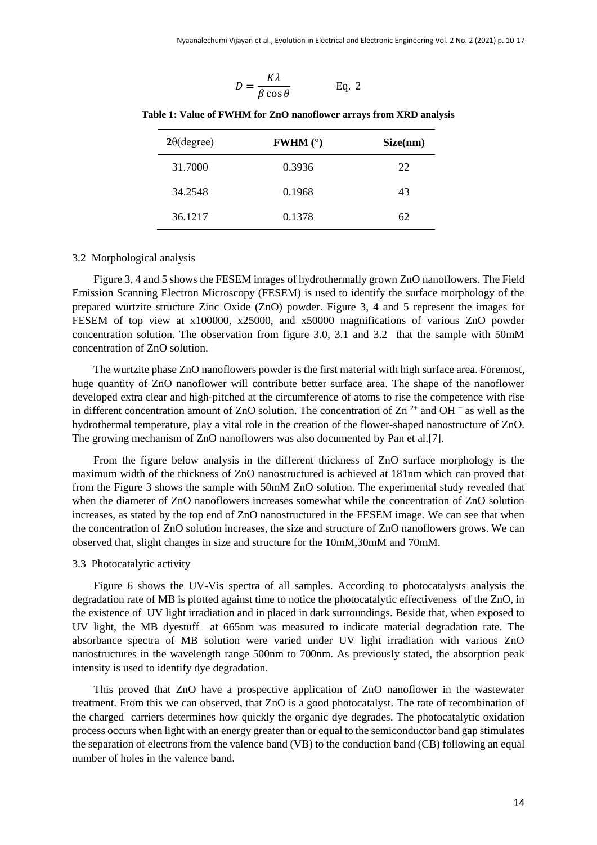$$
D = \frac{K\lambda}{\beta \cos \theta} \qquad \text{Eq. 2}
$$

| $2\theta$ (degree) | <b>FWHM</b> $(°)$ | Size(nm) |
|--------------------|-------------------|----------|
| 31.7000            | 0.3936            | 22       |
| 34.2548            | 0.1968            | 43       |
| 36.1217            | 0.1378            | 62       |

**Table 1: Value of FWHM for ZnO nanoflower arrays from XRD analysis**

#### 3.2 Morphological analysis

Figure 3, 4 and 5 shows the FESEM images of hydrothermally grown ZnO nanoflowers. The Field Emission Scanning Electron Microscopy (FESEM) is used to identify the surface morphology of the prepared wurtzite structure Zinc Oxide (ZnO) powder. Figure 3, 4 and 5 represent the images for FESEM of top view at x100000, x25000, and x50000 magnifications of various ZnO powder concentration solution. The observation from figure 3.0, 3.1 and 3.2 that the sample with 50mM concentration of ZnO solution.

The wurtzite phase ZnO nanoflowers powder is the first material with high surface area. Foremost, huge quantity of ZnO nanoflower will contribute better surface area. The shape of the nanoflower developed extra clear and high-pitched at the circumference of atoms to rise the competence with rise in different concentration amount of ZnO solution. The concentration of Zn<sup>2+</sup> and OH  $^-$  as well as the hydrothermal temperature, play a vital role in the creation of the flower-shaped nanostructure of ZnO. The growing mechanism of ZnO nanoflowers was also documented by Pan et al.[7].

From the figure below analysis in the different thickness of ZnO surface morphology is the maximum width of the thickness of ZnO nanostructured is achieved at 181nm which can proved that from the Figure 3 shows the sample with 50mM ZnO solution. The experimental study revealed that when the diameter of ZnO nanoflowers increases somewhat while the concentration of ZnO solution increases, as stated by the top end of ZnO nanostructured in the FESEM image. We can see that when the concentration of ZnO solution increases, the size and structure of ZnO nanoflowers grows. We can observed that, slight changes in size and structure for the 10mM,30mM and 70mM.

#### 3.3 Photocatalytic activity

Figure 6 shows the UV-Vis spectra of all samples. According to photocatalysts analysis the degradation rate of MB is plotted against time to notice the photocatalytic effectiveness of the ZnO, in the existence of UV light irradiation and in placed in dark surroundings. Beside that, when exposed to UV light, the MB dyestuff at 665nm was measured to indicate material degradation rate. The absorbance spectra of MB solution were varied under UV light irradiation with various ZnO nanostructures in the wavelength range 500nm to 700nm. As previously stated, the absorption peak intensity is used to identify dye degradation.

This proved that ZnO have a prospective application of ZnO nanoflower in the wastewater treatment. From this we can observed, that ZnO is a good photocatalyst. The rate of recombination of the charged carriers determines how quickly the organic dye degrades. The photocatalytic oxidation process occurs when light with an energy greater than or equal to the semiconductor band gap stimulates the separation of electrons from the valence band (VB) to the conduction band (CB) following an equal number of holes in the valence band.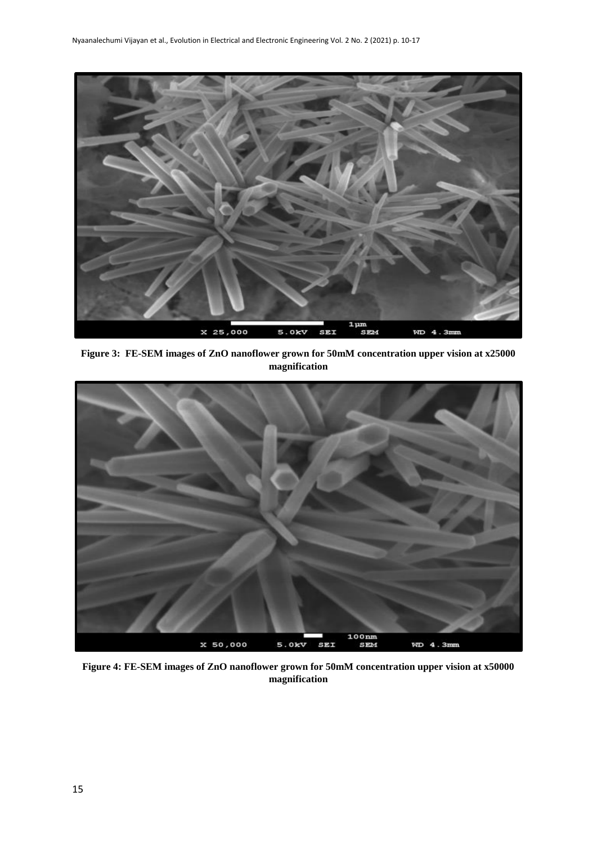

**Figure 3: FE-SEM images of ZnO nanoflower grown for 50mM concentration upper vision at x25000 magnification**



**Figure 4: FE-SEM images of ZnO nanoflower grown for 50mM concentration upper vision at x50000 magnification**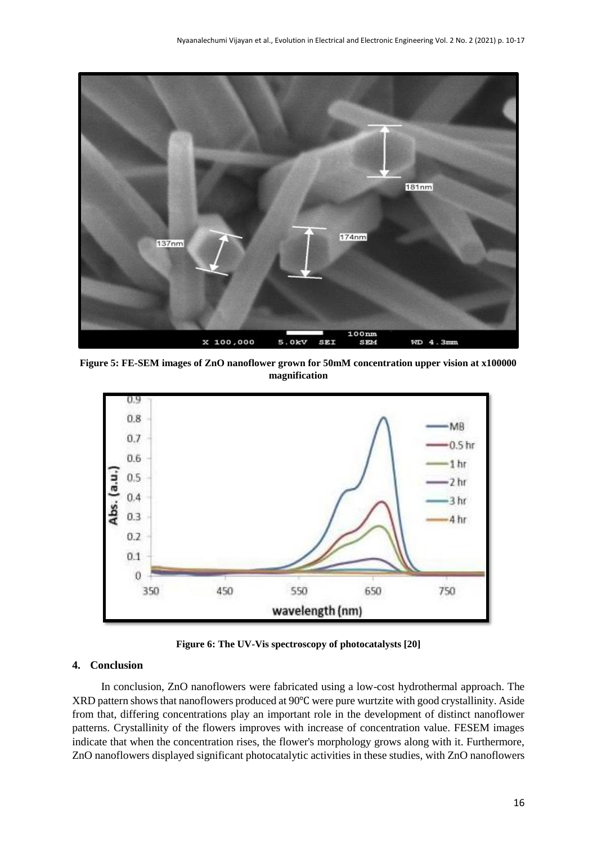

**Figure 5: FE-SEM images of ZnO nanoflower grown for 50mM concentration upper vision at x100000 magnification**



**Figure 6: The UV-Vis spectroscopy of photocatalysts [20]**

#### **4. Conclusion**

In conclusion, ZnO nanoflowers were fabricated using a low-cost hydrothermal approach. The XRD pattern shows that nanoflowers produced at 90℃ were pure wurtzite with good crystallinity. Aside from that, differing concentrations play an important role in the development of distinct nanoflower patterns. Crystallinity of the flowers improves with increase of concentration value. FESEM images indicate that when the concentration rises, the flower's morphology grows along with it. Furthermore, ZnO nanoflowers displayed significant photocatalytic activities in these studies, with ZnO nanoflowers